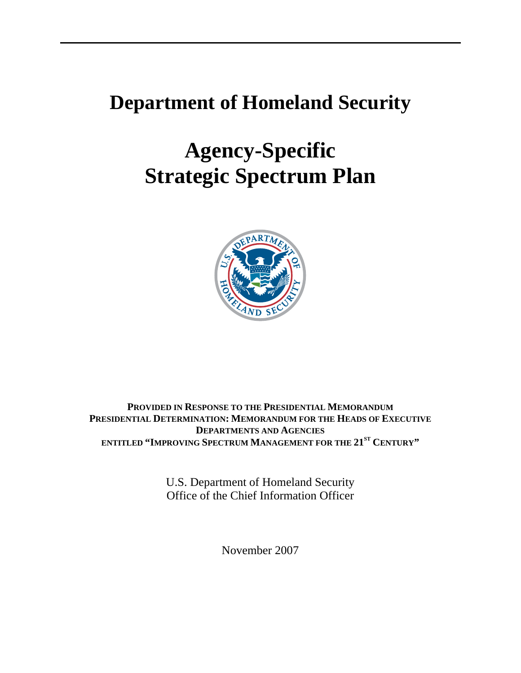# **Department of Homeland Security**

# **Agency-Specific Strategic Spectrum Plan**



**PROVIDED IN RESPONSE TO THE PRESIDENTIAL MEMORANDUM PRESIDENTIAL DETERMINATION: MEMORANDUM FOR THE HEADS OF EXECUTIVE DEPARTMENTS AND AGENCIES ENTITLED "IMPROVING SPECTRUM MANAGEMENT FOR THE 21ST CENTURY"** 

> U.S. Department of Homeland Security Office of the Chief Information Officer

> > November 2007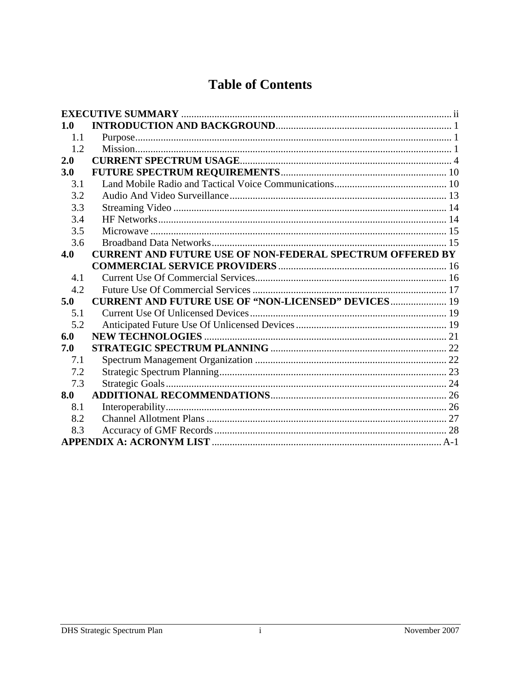# **Table of Contents**

| 1.0 |                                                                  |  |
|-----|------------------------------------------------------------------|--|
| 1.1 |                                                                  |  |
| 1.2 |                                                                  |  |
| 2.0 |                                                                  |  |
| 3.0 |                                                                  |  |
| 3.1 |                                                                  |  |
| 3.2 |                                                                  |  |
| 3.3 |                                                                  |  |
| 3.4 |                                                                  |  |
| 3.5 |                                                                  |  |
| 3.6 |                                                                  |  |
| 4.0 | <b>CURRENT AND FUTURE USE OF NON-FEDERAL SPECTRUM OFFERED BY</b> |  |
|     |                                                                  |  |
| 4.1 |                                                                  |  |
| 4.2 |                                                                  |  |
| 5.0 | <b>CURRENT AND FUTURE USE OF "NON-LICENSED" DEVICES 19</b>       |  |
| 5.1 |                                                                  |  |
| 5.2 |                                                                  |  |
| 6.0 |                                                                  |  |
| 7.0 |                                                                  |  |
| 7.1 |                                                                  |  |
| 7.2 |                                                                  |  |
| 7.3 |                                                                  |  |
| 8.0 |                                                                  |  |
| 8.1 |                                                                  |  |
| 8.2 |                                                                  |  |
| 8.3 |                                                                  |  |
|     |                                                                  |  |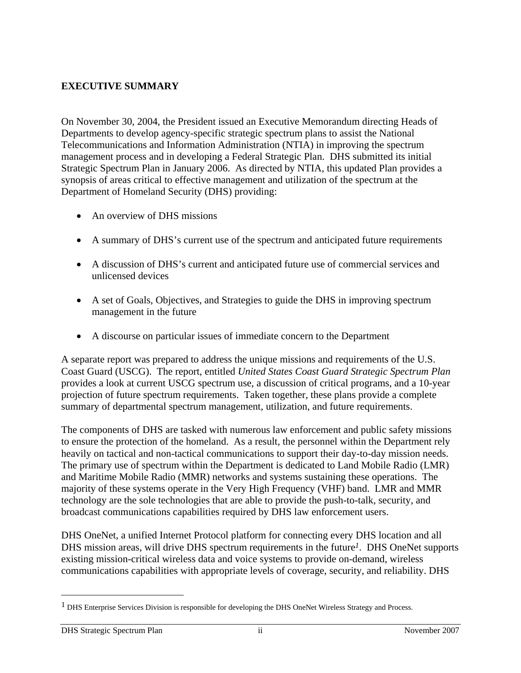#### **EXECUTIVE SUMMARY**

On November 30, 2004, the President issued an Executive Memorandum directing Heads of Departments to develop agency-specific strategic spectrum plans to assist the National Telecommunications and Information Administration (NTIA) in improving the spectrum management process and in developing a Federal Strategic Plan. DHS submitted its initial Strategic Spectrum Plan in January 2006. As directed by NTIA, this updated Plan provides a synopsis of areas critical to effective management and utilization of the spectrum at the Department of Homeland Security (DHS) providing:

- An overview of DHS missions
- A summary of DHS's current use of the spectrum and anticipated future requirements
- A discussion of DHS's current and anticipated future use of commercial services and unlicensed devices
- A set of Goals, Objectives, and Strategies to guide the DHS in improving spectrum management in the future
- A discourse on particular issues of immediate concern to the Department

A separate report was prepared to address the unique missions and requirements of the U.S. Coast Guard (USCG). The report, entitled *United States Coast Guard Strategic Spectrum Plan* provides a look at current USCG spectrum use, a discussion of critical programs, and a 10-year projection of future spectrum requirements. Taken together, these plans provide a complete summary of departmental spectrum management, utilization, and future requirements.

The components of DHS are tasked with numerous law enforcement and public safety missions to ensure the protection of the homeland. As a result, the personnel within the Department rely heavily on tactical and non-tactical communications to support their day-to-day mission needs. The primary use of spectrum within the Department is dedicated to Land Mobile Radio (LMR) and Maritime Mobile Radio (MMR) networks and systems sustaining these operations. The majority of these systems operate in the Very High Frequency (VHF) band. LMR and MMR technology are the sole technologies that are able to provide the push-to-talk, security, and broadcast communications capabilities required by DHS law enforcement users.

DHS OneNet, a unified Internet Protocol platform for connecting every DHS location and all DHS mission areas, will drive DHS spectrum requirements in the future*1*. DHS OneNet supports existing mission-critical wireless data and voice systems to provide on-demand, wireless communications capabilities with appropriate levels of coverage, security, and reliability. DHS

 $\overline{a}$ 

<sup>&</sup>lt;sup>1</sup> DHS Enterprise Services Division is responsible for developing the DHS OneNet Wireless Strategy and Process.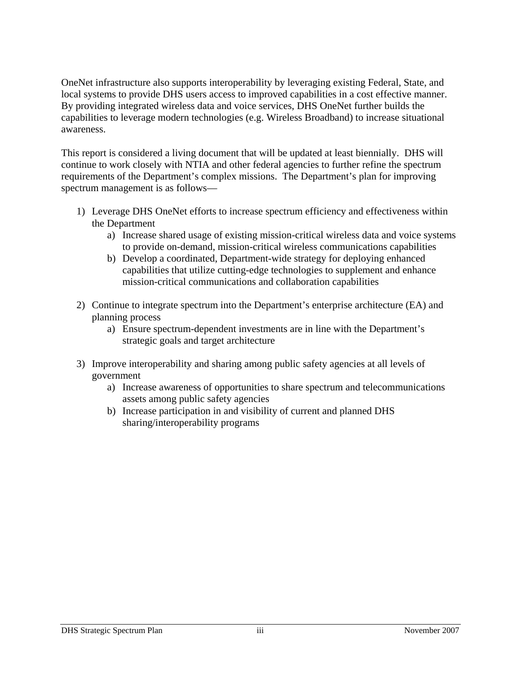OneNet infrastructure also supports interoperability by leveraging existing Federal, State, and local systems to provide DHS users access to improved capabilities in a cost effective manner. By providing integrated wireless data and voice services, DHS OneNet further builds the capabilities to leverage modern technologies (e.g. Wireless Broadband) to increase situational awareness.

This report is considered a living document that will be updated at least biennially. DHS will continue to work closely with NTIA and other federal agencies to further refine the spectrum requirements of the Department's complex missions. The Department's plan for improving spectrum management is as follows—

- 1) Leverage DHS OneNet efforts to increase spectrum efficiency and effectiveness within the Department
	- a) Increase shared usage of existing mission-critical wireless data and voice systems to provide on-demand, mission-critical wireless communications capabilities
	- b) Develop a coordinated, Department-wide strategy for deploying enhanced capabilities that utilize cutting-edge technologies to supplement and enhance mission-critical communications and collaboration capabilities
- 2) Continue to integrate spectrum into the Department's enterprise architecture (EA) and planning process
	- a) Ensure spectrum-dependent investments are in line with the Department's strategic goals and target architecture
- 3) Improve interoperability and sharing among public safety agencies at all levels of government
	- a) Increase awareness of opportunities to share spectrum and telecommunications assets among public safety agencies
	- b) Increase participation in and visibility of current and planned DHS sharing/interoperability programs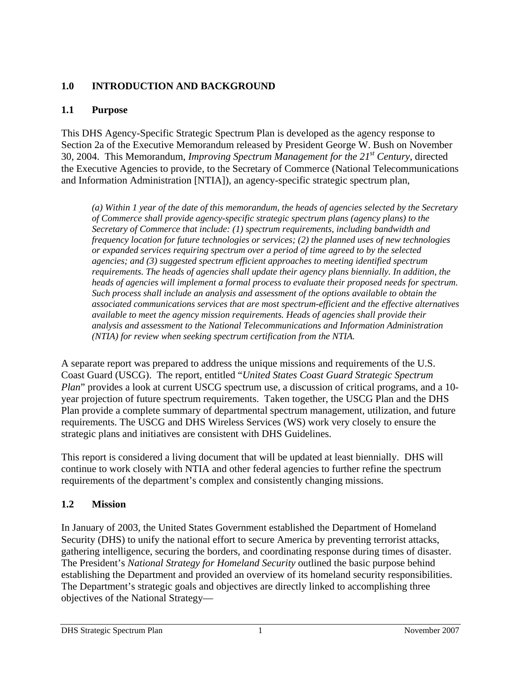# **1.0 INTRODUCTION AND BACKGROUND**

# **1.1 Purpose**

This DHS Agency-Specific Strategic Spectrum Plan is developed as the agency response to Section 2a of the Executive Memorandum released by President George W. Bush on November 30, 2004. This Memorandum, *Improving Spectrum Management for the 21st Century*, directed the Executive Agencies to provide, to the Secretary of Commerce (National Telecommunications and Information Administration [NTIA]), an agency-specific strategic spectrum plan,

*(a) Within 1 year of the date of this memorandum, the heads of agencies selected by the Secretary of Commerce shall provide agency-specific strategic spectrum plans (agency plans) to the Secretary of Commerce that include: (1) spectrum requirements, including bandwidth and frequency location for future technologies or services; (2) the planned uses of new technologies or expanded services requiring spectrum over a period of time agreed to by the selected agencies; and (3) suggested spectrum efficient approaches to meeting identified spectrum requirements. The heads of agencies shall update their agency plans biennially. In addition, the heads of agencies will implement a formal process to evaluate their proposed needs for spectrum. Such process shall include an analysis and assessment of the options available to obtain the associated communications services that are most spectrum-efficient and the effective alternatives available to meet the agency mission requirements. Heads of agencies shall provide their analysis and assessment to the National Telecommunications and Information Administration (NTIA) for review when seeking spectrum certification from the NTIA.* 

A separate report was prepared to address the unique missions and requirements of the U.S. Coast Guard (USCG). The report, entitled "*United States Coast Guard Strategic Spectrum Plan*" provides a look at current USCG spectrum use, a discussion of critical programs, and a 10year projection of future spectrum requirements. Taken together, the USCG Plan and the DHS Plan provide a complete summary of departmental spectrum management, utilization, and future requirements. The USCG and DHS Wireless Services (WS) work very closely to ensure the strategic plans and initiatives are consistent with DHS Guidelines.

This report is considered a living document that will be updated at least biennially. DHS will continue to work closely with NTIA and other federal agencies to further refine the spectrum requirements of the department's complex and consistently changing missions.

# **1.2 Mission**

In January of 2003, the United States Government established the Department of Homeland Security (DHS) to unify the national effort to secure America by preventing terrorist attacks, gathering intelligence, securing the borders, and coordinating response during times of disaster. The President's *National Strategy for Homeland Security* outlined the basic purpose behind establishing the Department and provided an overview of its homeland security responsibilities. The Department's strategic goals and objectives are directly linked to accomplishing three objectives of the National Strategy—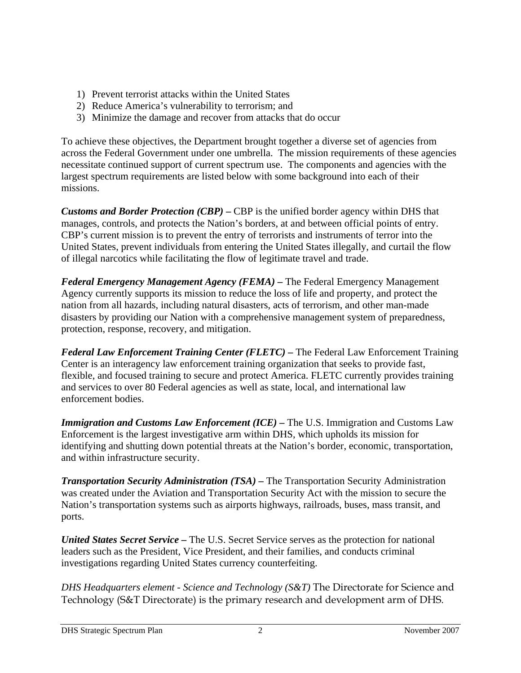- 1) Prevent terrorist attacks within the United States
- 2) Reduce America's vulnerability to terrorism; and
- 3) Minimize the damage and recover from attacks that do occur

To achieve these objectives, the Department brought together a diverse set of agencies from across the Federal Government under one umbrella. The mission requirements of these agencies necessitate continued support of current spectrum use. The components and agencies with the largest spectrum requirements are listed below with some background into each of their missions.

*Customs and Border Protection (CBP) –* CBP is the unified border agency within DHS that manages, controls, and protects the Nation's borders, at and between official points of entry. CBP's current mission is to prevent the entry of terrorists and instruments of terror into the United States, prevent individuals from entering the United States illegally, and curtail the flow of illegal narcotics while facilitating the flow of legitimate travel and trade.

*Federal Emergency Management Agency (FEMA) –* The Federal Emergency Management Agency currently supports its mission to reduce the loss of life and property, and protect the nation from all hazards, including natural disasters, acts of terrorism, and other man-made disasters by providing our Nation with a comprehensive management system of preparedness, protection, response, recovery, and mitigation.

*Federal Law Enforcement Training Center (FLETC) –* The Federal Law Enforcement Training Center is an interagency law enforcement training organization that seeks to provide fast, flexible, and focused training to secure and protect America. FLETC currently provides training and services to over 80 Federal agencies as well as state, local, and international law enforcement bodies.

*Immigration and Customs Law Enforcement (ICE) – The U.S. Immigration and Customs Law* Enforcement is the largest investigative arm within DHS, which upholds its mission for identifying and shutting down potential threats at the Nation's border, economic, transportation, and within infrastructure security.

*Transportation Security Administration (TSA) – The Transportation Security Administration* was created under the Aviation and Transportation Security Act with the mission to secure the Nation's transportation systems such as airports highways, railroads, buses, mass transit, and ports.

*United States Secret Service –* The U.S. Secret Service serves as the protection for national leaders such as the President, Vice President, and their families, and conducts criminal investigations regarding United States currency counterfeiting.

*DHS Headquarters element - Science and Technology (S&T)* The Directorate for Science and Technology (S&T Directorate) is the primary research and development arm of DHS.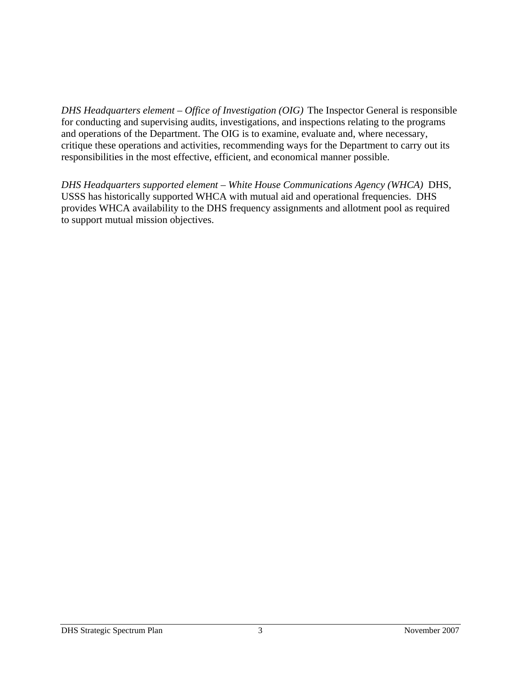*DHS Headquarters element – Office of Investigation (OIG)* The Inspector General is responsible for conducting and supervising audits, investigations, and inspections relating to the programs and operations of the Department. The OIG is to examine, evaluate and, where necessary, critique these operations and activities, recommending ways for the Department to carry out its responsibilities in the most effective, efficient, and economical manner possible.

*DHS Headquarters supported element – White House Communications Agency (WHCA)* DHS, USSS has historically supported WHCA with mutual aid and operational frequencies. DHS provides WHCA availability to the DHS frequency assignments and allotment pool as required to support mutual mission objectives.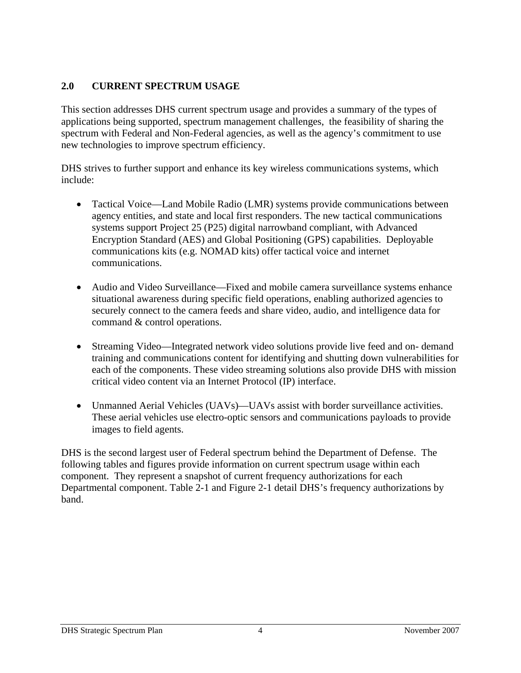#### **2.0 CURRENT SPECTRUM USAGE**

This section addresses DHS current spectrum usage and provides a summary of the types of applications being supported, spectrum management challenges, the feasibility of sharing the spectrum with Federal and Non-Federal agencies, as well as the agency's commitment to use new technologies to improve spectrum efficiency.

DHS strives to further support and enhance its key wireless communications systems, which include:

- Tactical Voice—Land Mobile Radio (LMR) systems provide communications between agency entities, and state and local first responders. The new tactical communications systems support Project 25 (P25) digital narrowband compliant, with Advanced Encryption Standard (AES) and Global Positioning (GPS) capabilities. Deployable communications kits (e.g. NOMAD kits) offer tactical voice and internet communications.
- Audio and Video Surveillance—Fixed and mobile camera surveillance systems enhance situational awareness during specific field operations, enabling authorized agencies to securely connect to the camera feeds and share video, audio, and intelligence data for command & control operations.
- Streaming Video—Integrated network video solutions provide live feed and on-demand training and communications content for identifying and shutting down vulnerabilities for each of the components. These video streaming solutions also provide DHS with mission critical video content via an Internet Protocol (IP) interface.
- Unmanned Aerial Vehicles (UAVs)—UAVs assist with border surveillance activities. These aerial vehicles use electro-optic sensors and communications payloads to provide images to field agents.

DHS is the second largest user of Federal spectrum behind the Department of Defense. The following tables and figures provide information on current spectrum usage within each component. They represent a snapshot of current frequency authorizations for each Departmental component. Table 2-1 and Figure 2-1 detail DHS's frequency authorizations by band.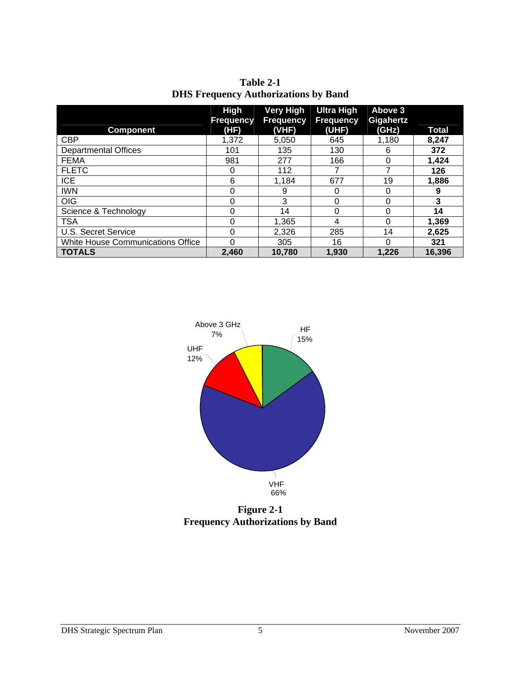| Table 2-1                                   |
|---------------------------------------------|
| <b>DHS Frequency Authorizations by Band</b> |

| <b>Component</b>                  | High<br><b>Frequency</b><br>(HF) | <b>Very High</b><br><b>Frequency</b><br>(VHF) | <b>Ultra High</b><br><b>Frequency</b><br>(UHF) | Above 3<br>Gigahertz<br>(GHz) | <b>Total</b> |
|-----------------------------------|----------------------------------|-----------------------------------------------|------------------------------------------------|-------------------------------|--------------|
| <b>CBP</b>                        | 1,372                            | 5,050                                         | 645                                            | 1,180                         | 8.247        |
| <b>Departmental Offices</b>       | 101                              | 135                                           | 130                                            | 6                             | 372          |
| <b>FEMA</b>                       | 981                              | 277                                           | 166                                            | $\Omega$                      | 1,424        |
| <b>FLETC</b>                      | 0                                | 112                                           |                                                |                               | 126          |
| <b>ICE</b>                        | 6                                | 1,184                                         | 677                                            | 19                            | 1,886        |
| <b>IWN</b>                        | 0                                | 9                                             |                                                |                               | 9            |
| <b>OIG</b>                        | 0                                | 3                                             | 0                                              |                               | 3            |
| Science & Technology              | 0                                | 14                                            | 0                                              |                               | 14           |
| <b>TSA</b>                        | 0                                | 1.365                                         | 4                                              | 0                             | 1,369        |
| U.S. Secret Service               | 0                                | 2,326                                         | 285                                            | 14                            | 2,625        |
| White House Communications Office | 0                                | 305                                           | 16                                             | $\Omega$                      | 321          |
| <b>TOTALS</b>                     | 2.460                            | 10,780                                        | 1.930                                          | 1.226                         | 16,396       |



**Figure 2-1 Frequency Authorizations by Band**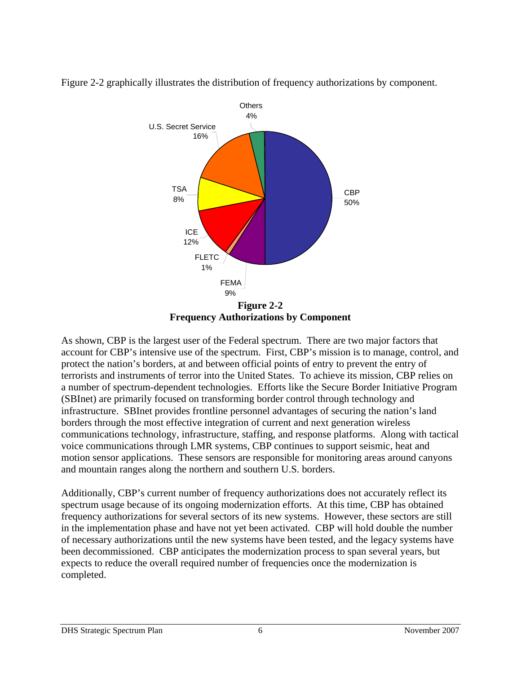

Figure 2-2 graphically illustrates the distribution of frequency authorizations by component.

**Frequency Authorizations by Component** 

As shown, CBP is the largest user of the Federal spectrum. There are two major factors that account for CBP's intensive use of the spectrum. First, CBP's mission is to manage, control, and protect the nation's borders, at and between official points of entry to prevent the entry of terrorists and instruments of terror into the United States. To achieve its mission, CBP relies on a number of spectrum-dependent technologies. Efforts like the Secure Border Initiative Program (SBInet) are primarily focused on transforming border control through technology and infrastructure. SBInet provides frontline personnel advantages of securing the nation's land borders through the most effective integration of current and next generation wireless communications technology, infrastructure, staffing, and response platforms. Along with tactical voice communications through LMR systems, CBP continues to support seismic, heat and motion sensor applications. These sensors are responsible for monitoring areas around canyons and mountain ranges along the northern and southern U.S. borders.

Additionally, CBP's current number of frequency authorizations does not accurately reflect its spectrum usage because of its ongoing modernization efforts. At this time, CBP has obtained frequency authorizations for several sectors of its new systems. However, these sectors are still in the implementation phase and have not yet been activated. CBP will hold double the number of necessary authorizations until the new systems have been tested, and the legacy systems have been decommissioned. CBP anticipates the modernization process to span several years, but expects to reduce the overall required number of frequencies once the modernization is completed.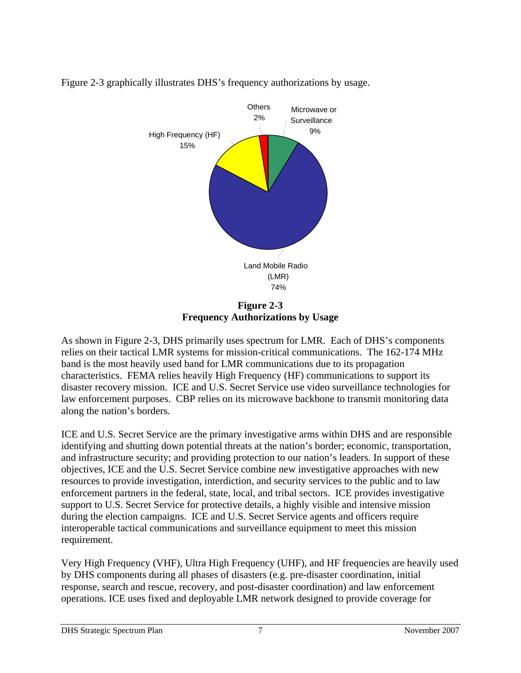

Figure 2-3 graphically illustrates DHS's frequency authorizations by usage.

**Figure 2-3 Frequency Authorizations by Usage** 

As shown in Figure 2-3, DHS primarily uses spectrum for LMR. Each of DHS's components relies on their tactical LMR systems for mission-critical communications. The 162-174 MHz band is the most heavily used band for LMR communications due to its propagation characteristics. FEMA relies heavily High Frequency (HF) communications to support its disaster recovery mission. ICE and U.S. Secret Service use video surveillance technologies for law enforcement purposes. CBP relies on its microwave backbone to transmit monitoring data along the nation's borders.

ICE and U.S. Secret Service are the primary investigative arms within DHS and are responsible identifying and shutting down potential threats at the nation's border; economic, transportation, and infrastructure security; and providing protection to our nation's leaders. In support of these objectives, ICE and the U.S. Secret Service combine new investigative approaches with new resources to provide investigation, interdiction, and security services to the public and to law enforcement partners in the federal, state, local, and tribal sectors. ICE provides investigative support to U.S. Secret Service for protective details, a highly visible and intensive mission during the election campaigns. ICE and U.S. Secret Service agents and officers require interoperable tactical communications and surveillance equipment to meet this mission requirement.

Very High Frequency (VHF), Ultra High Frequency (UHF), and HF frequencies are heavily used by DHS components during all phases of disasters (e.g. pre-disaster coordination, initial response, search and rescue, recovery, and post-disaster coordination) and law enforcement operations. ICE uses fixed and deployable LMR network designed to provide coverage for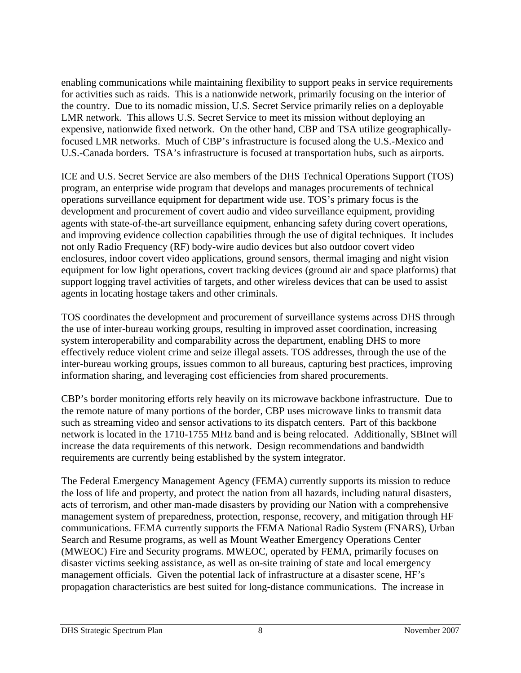enabling communications while maintaining flexibility to support peaks in service requirements for activities such as raids. This is a nationwide network, primarily focusing on the interior of the country. Due to its nomadic mission, U.S. Secret Service primarily relies on a deployable LMR network. This allows U.S. Secret Service to meet its mission without deploying an expensive, nationwide fixed network. On the other hand, CBP and TSA utilize geographicallyfocused LMR networks. Much of CBP's infrastructure is focused along the U.S.-Mexico and U.S.-Canada borders. TSA's infrastructure is focused at transportation hubs, such as airports.

ICE and U.S. Secret Service are also members of the DHS Technical Operations Support (TOS) program, an enterprise wide program that develops and manages procurements of technical operations surveillance equipment for department wide use. TOS's primary focus is the development and procurement of covert audio and video surveillance equipment, providing agents with state-of-the-art surveillance equipment, enhancing safety during covert operations, and improving evidence collection capabilities through the use of digital techniques. It includes not only Radio Frequency (RF) body-wire audio devices but also outdoor covert video enclosures, indoor covert video applications, ground sensors, thermal imaging and night vision equipment for low light operations, covert tracking devices (ground air and space platforms) that support logging travel activities of targets, and other wireless devices that can be used to assist agents in locating hostage takers and other criminals.

TOS coordinates the development and procurement of surveillance systems across DHS through the use of inter-bureau working groups, resulting in improved asset coordination, increasing system interoperability and comparability across the department, enabling DHS to more effectively reduce violent crime and seize illegal assets. TOS addresses, through the use of the inter-bureau working groups, issues common to all bureaus, capturing best practices, improving information sharing, and leveraging cost efficiencies from shared procurements.

CBP's border monitoring efforts rely heavily on its microwave backbone infrastructure. Due to the remote nature of many portions of the border, CBP uses microwave links to transmit data such as streaming video and sensor activations to its dispatch centers. Part of this backbone network is located in the 1710-1755 MHz band and is being relocated. Additionally, SBInet will increase the data requirements of this network. Design recommendations and bandwidth requirements are currently being established by the system integrator.

The Federal Emergency Management Agency (FEMA) currently supports its mission to reduce the loss of life and property, and protect the nation from all hazards, including natural disasters, acts of terrorism, and other man-made disasters by providing our Nation with a comprehensive management system of preparedness, protection, response, recovery, and mitigation through HF communications. FEMA currently supports the FEMA National Radio System (FNARS), Urban Search and Resume programs, as well as Mount Weather Emergency Operations Center (MWEOC) Fire and Security programs. MWEOC, operated by FEMA, primarily focuses on disaster victims seeking assistance, as well as on-site training of state and local emergency management officials. Given the potential lack of infrastructure at a disaster scene, HF's propagation characteristics are best suited for long-distance communications. The increase in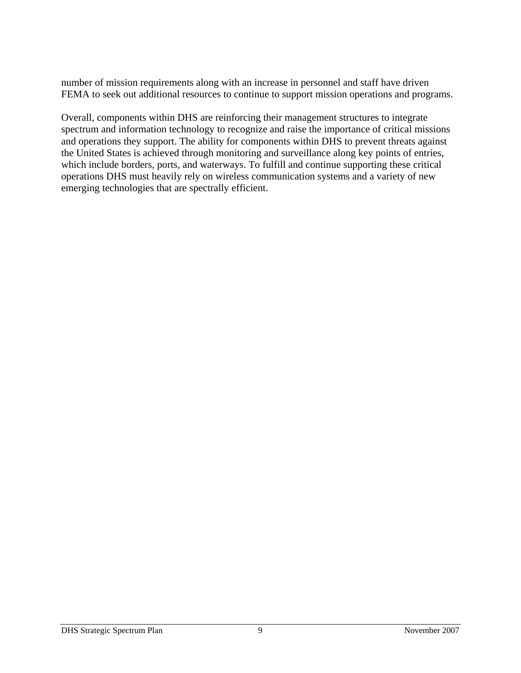number of mission requirements along with an increase in personnel and staff have driven FEMA to seek out additional resources to continue to support mission operations and programs.

Overall, components within DHS are reinforcing their management structures to integrate spectrum and information technology to recognize and raise the importance of critical missions and operations they support. The ability for components within DHS to prevent threats against the United States is achieved through monitoring and surveillance along key points of entries, which include borders, ports, and waterways. To fulfill and continue supporting these critical operations DHS must heavily rely on wireless communication systems and a variety of new emerging technologies that are spectrally efficient.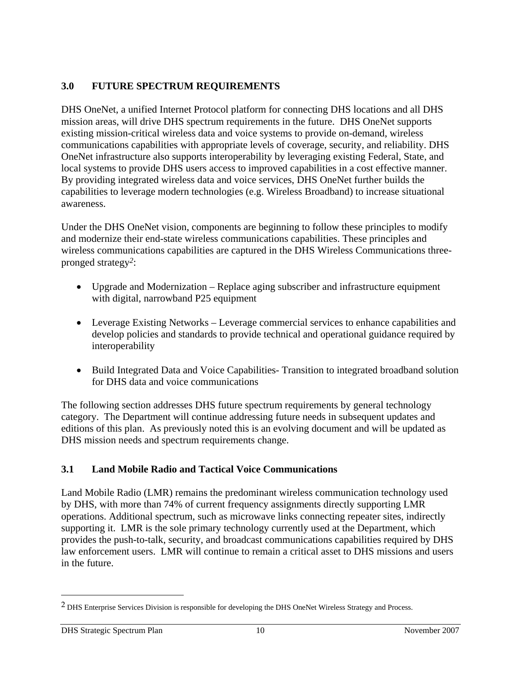# **3.0 FUTURE SPECTRUM REQUIREMENTS**

DHS OneNet, a unified Internet Protocol platform for connecting DHS locations and all DHS mission areas, will drive DHS spectrum requirements in the future. DHS OneNet supports existing mission-critical wireless data and voice systems to provide on-demand, wireless communications capabilities with appropriate levels of coverage, security, and reliability. DHS OneNet infrastructure also supports interoperability by leveraging existing Federal, State, and local systems to provide DHS users access to improved capabilities in a cost effective manner. By providing integrated wireless data and voice services, DHS OneNet further builds the capabilities to leverage modern technologies (e.g. Wireless Broadband) to increase situational awareness.

Under the DHS OneNet vision, components are beginning to follow these principles to modify and modernize their end-state wireless communications capabilities. These principles and wireless communications capabilities are captured in the DHS Wireless Communications threepronged strategy*2*:

- Upgrade and Modernization Replace aging subscriber and infrastructure equipment with digital, narrowband P25 equipment
- Leverage Existing Networks Leverage commercial services to enhance capabilities and develop policies and standards to provide technical and operational guidance required by interoperability
- Build Integrated Data and Voice Capabilities- Transition to integrated broadband solution for DHS data and voice communications

The following section addresses DHS future spectrum requirements by general technology category. The Department will continue addressing future needs in subsequent updates and editions of this plan. As previously noted this is an evolving document and will be updated as DHS mission needs and spectrum requirements change.

# **3.1 Land Mobile Radio and Tactical Voice Communications**

Land Mobile Radio (LMR) remains the predominant wireless communication technology used by DHS, with more than 74% of current frequency assignments directly supporting LMR operations. Additional spectrum, such as microwave links connecting repeater sites, indirectly supporting it. LMR is the sole primary technology currently used at the Department, which provides the push-to-talk, security, and broadcast communications capabilities required by DHS law enforcement users. LMR will continue to remain a critical asset to DHS missions and users in the future.

-

<sup>2</sup> DHS Enterprise Services Division is responsible for developing the DHS OneNet Wireless Strategy and Process.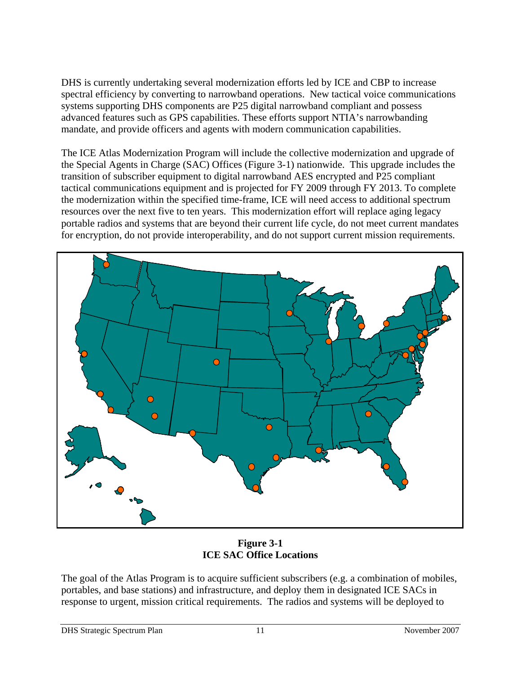DHS is currently undertaking several modernization efforts led by ICE and CBP to increase spectral efficiency by converting to narrowband operations. New tactical voice communications systems supporting DHS components are P25 digital narrowband compliant and possess advanced features such as GPS capabilities. These efforts support NTIA's narrowbanding mandate, and provide officers and agents with modern communication capabilities.

The ICE Atlas Modernization Program will include the collective modernization and upgrade of the Special Agents in Charge (SAC) Offices (Figure 3-1) nationwide. This upgrade includes the transition of subscriber equipment to digital narrowband AES encrypted and P25 compliant tactical communications equipment and is projected for FY 2009 through FY 2013. To complete the modernization within the specified time-frame, ICE will need access to additional spectrum resources over the next five to ten years. This modernization effort will replace aging legacy portable radios and systems that are beyond their current life cycle, do not meet current mandates for encryption, do not provide interoperability, and do not support current mission requirements.



**Figure 3-1 ICE SAC Office Locations** 

The goal of the Atlas Program is to acquire sufficient subscribers (e.g. a combination of mobiles, portables, and base stations) and infrastructure, and deploy them in designated ICE SACs in response to urgent, mission critical requirements. The radios and systems will be deployed to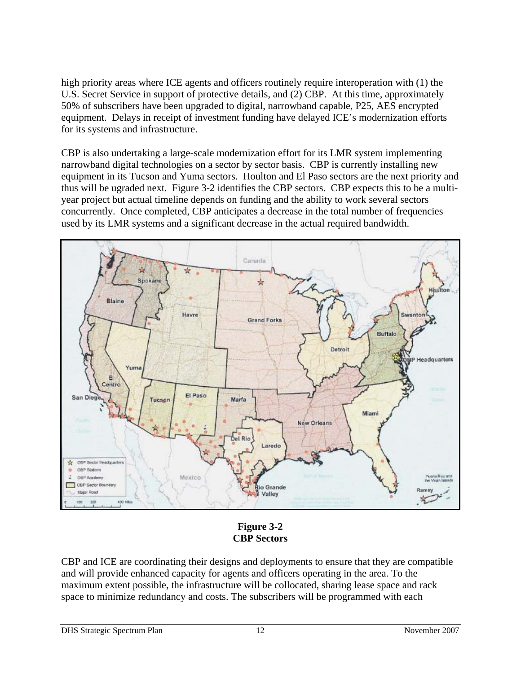high priority areas where ICE agents and officers routinely require interoperation with (1) the U.S. Secret Service in support of protective details, and (2) CBP. At this time, approximately 50% of subscribers have been upgraded to digital, narrowband capable, P25, AES encrypted equipment. Delays in receipt of investment funding have delayed ICE's modernization efforts for its systems and infrastructure.

CBP is also undertaking a large-scale modernization effort for its LMR system implementing narrowband digital technologies on a sector by sector basis. CBP is currently installing new equipment in its Tucson and Yuma sectors. Houlton and El Paso sectors are the next priority and thus will be ugraded next. Figure 3-2 identifies the CBP sectors. CBP expects this to be a multiyear project but actual timeline depends on funding and the ability to work several sectors concurrently. Once completed, CBP anticipates a decrease in the total number of frequencies used by its LMR systems and a significant decrease in the actual required bandwidth.



**Figure 3-2 CBP Sectors** 

CBP and ICE are coordinating their designs and deployments to ensure that they are compatible and will provide enhanced capacity for agents and officers operating in the area. To the maximum extent possible, the infrastructure will be collocated, sharing lease space and rack space to minimize redundancy and costs. The subscribers will be programmed with each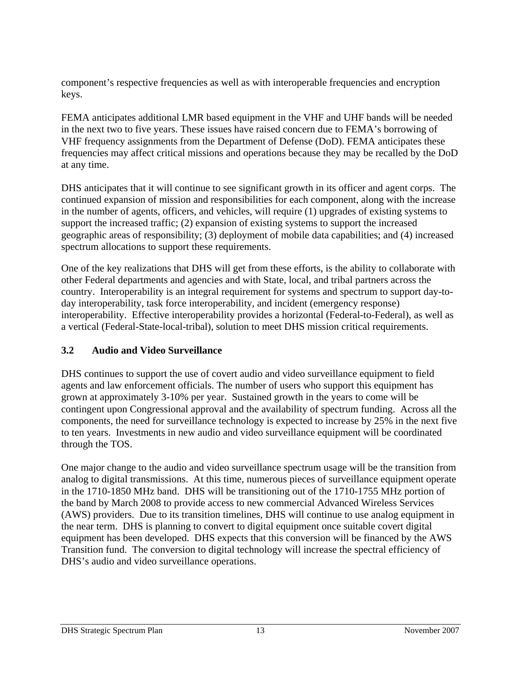component's respective frequencies as well as with interoperable frequencies and encryption keys.

FEMA anticipates additional LMR based equipment in the VHF and UHF bands will be needed in the next two to five years. These issues have raised concern due to FEMA's borrowing of VHF frequency assignments from the Department of Defense (DoD). FEMA anticipates these frequencies may affect critical missions and operations because they may be recalled by the DoD at any time.

DHS anticipates that it will continue to see significant growth in its officer and agent corps. The continued expansion of mission and responsibilities for each component, along with the increase in the number of agents, officers, and vehicles, will require (1) upgrades of existing systems to support the increased traffic; (2) expansion of existing systems to support the increased geographic areas of responsibility; (3) deployment of mobile data capabilities; and (4) increased spectrum allocations to support these requirements.

One of the key realizations that DHS will get from these efforts, is the ability to collaborate with other Federal departments and agencies and with State, local, and tribal partners across the country. Interoperability is an integral requirement for systems and spectrum to support day-today interoperability, task force interoperability, and incident (emergency response) interoperability. Effective interoperability provides a horizontal (Federal-to-Federal), as well as a vertical (Federal-State-local-tribal), solution to meet DHS mission critical requirements.

# **3.2 Audio and Video Surveillance**

DHS continues to support the use of covert audio and video surveillance equipment to field agents and law enforcement officials. The number of users who support this equipment has grown at approximately 3-10% per year. Sustained growth in the years to come will be contingent upon Congressional approval and the availability of spectrum funding. Across all the components, the need for surveillance technology is expected to increase by 25% in the next five to ten years. Investments in new audio and video surveillance equipment will be coordinated through the TOS.

One major change to the audio and video surveillance spectrum usage will be the transition from analog to digital transmissions. At this time, numerous pieces of surveillance equipment operate in the 1710-1850 MHz band. DHS will be transitioning out of the 1710-1755 MHz portion of the band by March 2008 to provide access to new commercial Advanced Wireless Services (AWS) providers. Due to its transition timelines, DHS will continue to use analog equipment in the near term. DHS is planning to convert to digital equipment once suitable covert digital equipment has been developed. DHS expects that this conversion will be financed by the AWS Transition fund. The conversion to digital technology will increase the spectral efficiency of DHS's audio and video surveillance operations.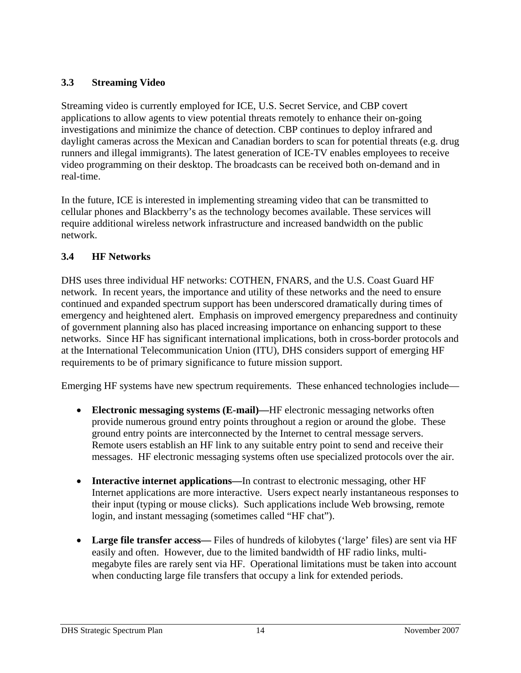# **3.3 Streaming Video**

Streaming video is currently employed for ICE, U.S. Secret Service, and CBP covert applications to allow agents to view potential threats remotely to enhance their on-going investigations and minimize the chance of detection. CBP continues to deploy infrared and daylight cameras across the Mexican and Canadian borders to scan for potential threats (e.g. drug runners and illegal immigrants). The latest generation of ICE-TV enables employees to receive video programming on their desktop. The broadcasts can be received both on-demand and in real-time.

In the future, ICE is interested in implementing streaming video that can be transmitted to cellular phones and Blackberry's as the technology becomes available. These services will require additional wireless network infrastructure and increased bandwidth on the public network.

#### **3.4 HF Networks**

DHS uses three individual HF networks: COTHEN, FNARS, and the U.S. Coast Guard HF network. In recent years, the importance and utility of these networks and the need to ensure continued and expanded spectrum support has been underscored dramatically during times of emergency and heightened alert. Emphasis on improved emergency preparedness and continuity of government planning also has placed increasing importance on enhancing support to these networks. Since HF has significant international implications, both in cross-border protocols and at the International Telecommunication Union (ITU), DHS considers support of emerging HF requirements to be of primary significance to future mission support.

Emerging HF systems have new spectrum requirements. These enhanced technologies include—

- **Electronic messaging systems (E-mail)—**HF electronic messaging networks often provide numerous ground entry points throughout a region or around the globe. These ground entry points are interconnected by the Internet to central message servers. Remote users establish an HF link to any suitable entry point to send and receive their messages. HF electronic messaging systems often use specialized protocols over the air.
- **Interactive internet applications—**In contrast to electronic messaging, other HF Internet applications are more interactive. Users expect nearly instantaneous responses to their input (typing or mouse clicks). Such applications include Web browsing, remote login, and instant messaging (sometimes called "HF chat").
- **Large file transfer access—** Files of hundreds of kilobytes ('large' files) are sent via HF easily and often. However, due to the limited bandwidth of HF radio links, multimegabyte files are rarely sent via HF. Operational limitations must be taken into account when conducting large file transfers that occupy a link for extended periods.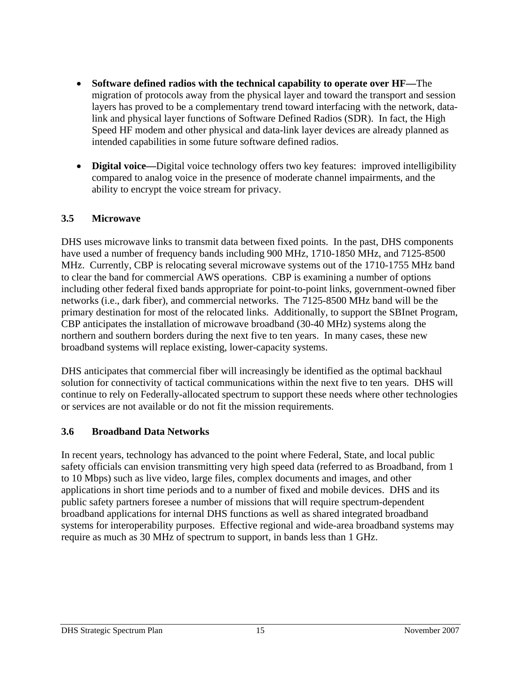- **Software defined radios with the technical capability to operate over HF—**The migration of protocols away from the physical layer and toward the transport and session layers has proved to be a complementary trend toward interfacing with the network, datalink and physical layer functions of Software Defined Radios (SDR). In fact, the High Speed HF modem and other physical and data-link layer devices are already planned as intended capabilities in some future software defined radios.
- **Digital voice—**Digital voice technology offers two key features: improved intelligibility compared to analog voice in the presence of moderate channel impairments, and the ability to encrypt the voice stream for privacy.

#### **3.5 Microwave**

DHS uses microwave links to transmit data between fixed points. In the past, DHS components have used a number of frequency bands including 900 MHz, 1710-1850 MHz, and 7125-8500 MHz. Currently, CBP is relocating several microwave systems out of the 1710-1755 MHz band to clear the band for commercial AWS operations. CBP is examining a number of options including other federal fixed bands appropriate for point-to-point links, government-owned fiber networks (i.e., dark fiber), and commercial networks. The 7125-8500 MHz band will be the primary destination for most of the relocated links. Additionally, to support the SBInet Program, CBP anticipates the installation of microwave broadband (30-40 MHz) systems along the northern and southern borders during the next five to ten years. In many cases, these new broadband systems will replace existing, lower-capacity systems.

DHS anticipates that commercial fiber will increasingly be identified as the optimal backhaul solution for connectivity of tactical communications within the next five to ten years. DHS will continue to rely on Federally-allocated spectrum to support these needs where other technologies or services are not available or do not fit the mission requirements.

#### **3.6 Broadband Data Networks**

In recent years, technology has advanced to the point where Federal, State, and local public safety officials can envision transmitting very high speed data (referred to as Broadband, from 1 to 10 Mbps) such as live video, large files, complex documents and images, and other applications in short time periods and to a number of fixed and mobile devices. DHS and its public safety partners foresee a number of missions that will require spectrum-dependent broadband applications for internal DHS functions as well as shared integrated broadband systems for interoperability purposes. Effective regional and wide-area broadband systems may require as much as 30 MHz of spectrum to support, in bands less than 1 GHz.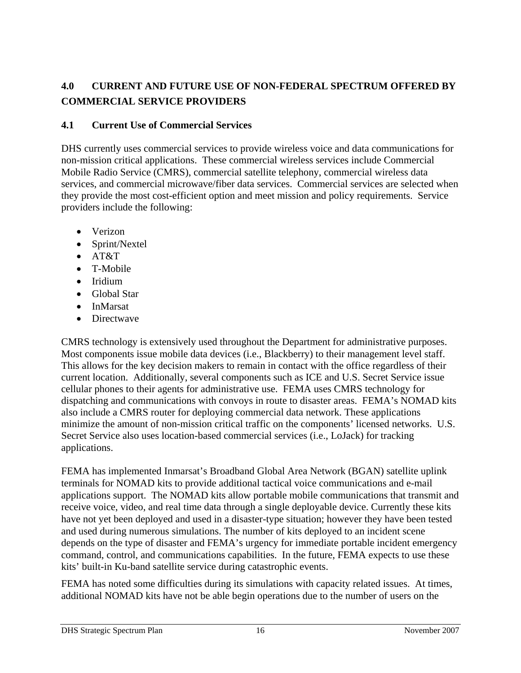# **4.0 CURRENT AND FUTURE USE OF NON-FEDERAL SPECTRUM OFFERED BY COMMERCIAL SERVICE PROVIDERS**

#### **4.1 Current Use of Commercial Services**

DHS currently uses commercial services to provide wireless voice and data communications for non-mission critical applications. These commercial wireless services include Commercial Mobile Radio Service (CMRS), commercial satellite telephony, commercial wireless data services, and commercial microwave/fiber data services. Commercial services are selected when they provide the most cost-efficient option and meet mission and policy requirements. Service providers include the following:

- Verizon
- Sprint/Nextel
- AT&T
- T-Mobile
- Iridium
- Global Star
- InMarsat
- Directwave

CMRS technology is extensively used throughout the Department for administrative purposes. Most components issue mobile data devices (i.e., Blackberry) to their management level staff. This allows for the key decision makers to remain in contact with the office regardless of their current location. Additionally, several components such as ICE and U.S. Secret Service issue cellular phones to their agents for administrative use. FEMA uses CMRS technology for dispatching and communications with convoys in route to disaster areas. FEMA's NOMAD kits also include a CMRS router for deploying commercial data network. These applications minimize the amount of non-mission critical traffic on the components' licensed networks. U.S. Secret Service also uses location-based commercial services (i.e., LoJack) for tracking applications.

FEMA has implemented Inmarsat's Broadband Global Area Network (BGAN) satellite uplink terminals for NOMAD kits to provide additional tactical voice communications and e-mail applications support. The NOMAD kits allow portable mobile communications that transmit and receive voice, video, and real time data through a single deployable device. Currently these kits have not yet been deployed and used in a disaster-type situation; however they have been tested and used during numerous simulations. The number of kits deployed to an incident scene depends on the type of disaster and FEMA's urgency for immediate portable incident emergency command, control, and communications capabilities. In the future, FEMA expects to use these kits' built-in Ku-band satellite service during catastrophic events.

FEMA has noted some difficulties during its simulations with capacity related issues. At times, additional NOMAD kits have not be able begin operations due to the number of users on the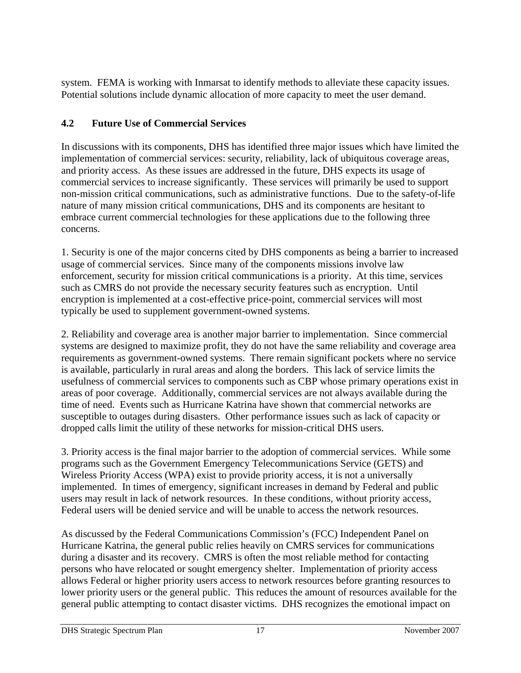system. FEMA is working with Inmarsat to identify methods to alleviate these capacity issues. Potential solutions include dynamic allocation of more capacity to meet the user demand.

# **4.2 Future Use of Commercial Services**

In discussions with its components, DHS has identified three major issues which have limited the implementation of commercial services: security, reliability, lack of ubiquitous coverage areas, and priority access. As these issues are addressed in the future, DHS expects its usage of commercial services to increase significantly. These services will primarily be used to support non-mission critical communications, such as administrative functions. Due to the safety-of-life nature of many mission critical communications, DHS and its components are hesitant to embrace current commercial technologies for these applications due to the following three concerns.

1. Security is one of the major concerns cited by DHS components as being a barrier to increased usage of commercial services. Since many of the components missions involve law enforcement, security for mission critical communications is a priority. At this time, services such as CMRS do not provide the necessary security features such as encryption. Until encryption is implemented at a cost-effective price-point, commercial services will most typically be used to supplement government-owned systems.

2. Reliability and coverage area is another major barrier to implementation. Since commercial systems are designed to maximize profit, they do not have the same reliability and coverage area requirements as government-owned systems. There remain significant pockets where no service is available, particularly in rural areas and along the borders. This lack of service limits the usefulness of commercial services to components such as CBP whose primary operations exist in areas of poor coverage. Additionally, commercial services are not always available during the time of need. Events such as Hurricane Katrina have shown that commercial networks are susceptible to outages during disasters. Other performance issues such as lack of capacity or dropped calls limit the utility of these networks for mission-critical DHS users.

3. Priority access is the final major barrier to the adoption of commercial services. While some programs such as the Government Emergency Telecommunications Service (GETS) and Wireless Priority Access (WPA) exist to provide priority access, it is not a universally implemented. In times of emergency, significant increases in demand by Federal and public users may result in lack of network resources. In these conditions, without priority access, Federal users will be denied service and will be unable to access the network resources.

As discussed by the Federal Communications Commission's (FCC) Independent Panel on Hurricane Katrina, the general public relies heavily on CMRS services for communications during a disaster and its recovery. CMRS is often the most reliable method for contacting persons who have relocated or sought emergency shelter. Implementation of priority access allows Federal or higher priority users access to network resources before granting resources to lower priority users or the general public. This reduces the amount of resources available for the general public attempting to contact disaster victims. DHS recognizes the emotional impact on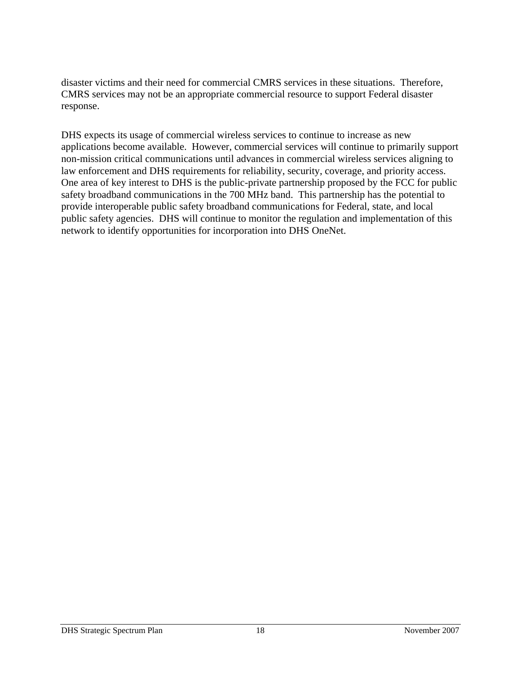disaster victims and their need for commercial CMRS services in these situations. Therefore, CMRS services may not be an appropriate commercial resource to support Federal disaster response.

DHS expects its usage of commercial wireless services to continue to increase as new applications become available. However, commercial services will continue to primarily support non-mission critical communications until advances in commercial wireless services aligning to law enforcement and DHS requirements for reliability, security, coverage, and priority access. One area of key interest to DHS is the public-private partnership proposed by the FCC for public safety broadband communications in the 700 MHz band. This partnership has the potential to provide interoperable public safety broadband communications for Federal, state, and local public safety agencies. DHS will continue to monitor the regulation and implementation of this network to identify opportunities for incorporation into DHS OneNet.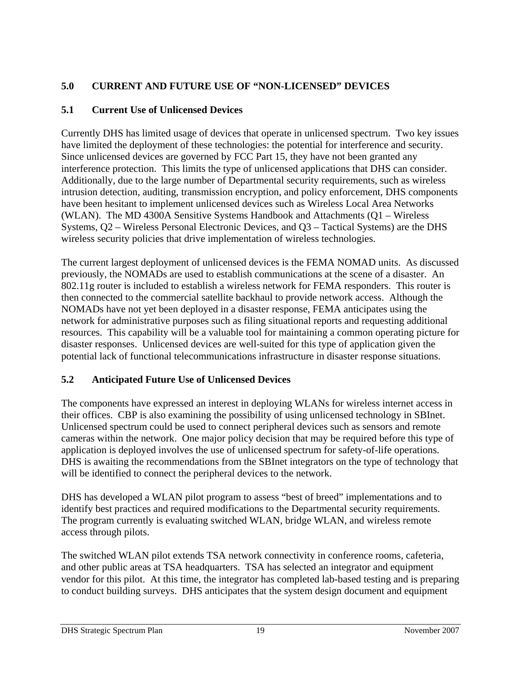# **5.0 CURRENT AND FUTURE USE OF "NON-LICENSED" DEVICES**

# **5.1 Current Use of Unlicensed Devices**

Currently DHS has limited usage of devices that operate in unlicensed spectrum. Two key issues have limited the deployment of these technologies: the potential for interference and security. Since unlicensed devices are governed by FCC Part 15, they have not been granted any interference protection. This limits the type of unlicensed applications that DHS can consider. Additionally, due to the large number of Departmental security requirements, such as wireless intrusion detection, auditing, transmission encryption, and policy enforcement, DHS components have been hesitant to implement unlicensed devices such as Wireless Local Area Networks (WLAN). The MD 4300A Sensitive Systems Handbook and Attachments (Q1 – Wireless Systems, Q2 – Wireless Personal Electronic Devices, and Q3 – Tactical Systems) are the DHS wireless security policies that drive implementation of wireless technologies.

The current largest deployment of unlicensed devices is the FEMA NOMAD units. As discussed previously, the NOMADs are used to establish communications at the scene of a disaster. An 802.11g router is included to establish a wireless network for FEMA responders. This router is then connected to the commercial satellite backhaul to provide network access. Although the NOMADs have not yet been deployed in a disaster response, FEMA anticipates using the network for administrative purposes such as filing situational reports and requesting additional resources. This capability will be a valuable tool for maintaining a common operating picture for disaster responses. Unlicensed devices are well-suited for this type of application given the potential lack of functional telecommunications infrastructure in disaster response situations.

# **5.2 Anticipated Future Use of Unlicensed Devices**

The components have expressed an interest in deploying WLANs for wireless internet access in their offices. CBP is also examining the possibility of using unlicensed technology in SBInet. Unlicensed spectrum could be used to connect peripheral devices such as sensors and remote cameras within the network. One major policy decision that may be required before this type of application is deployed involves the use of unlicensed spectrum for safety-of-life operations. DHS is awaiting the recommendations from the SBInet integrators on the type of technology that will be identified to connect the peripheral devices to the network.

DHS has developed a WLAN pilot program to assess "best of breed" implementations and to identify best practices and required modifications to the Departmental security requirements. The program currently is evaluating switched WLAN, bridge WLAN, and wireless remote access through pilots.

The switched WLAN pilot extends TSA network connectivity in conference rooms, cafeteria, and other public areas at TSA headquarters. TSA has selected an integrator and equipment vendor for this pilot. At this time, the integrator has completed lab-based testing and is preparing to conduct building surveys. DHS anticipates that the system design document and equipment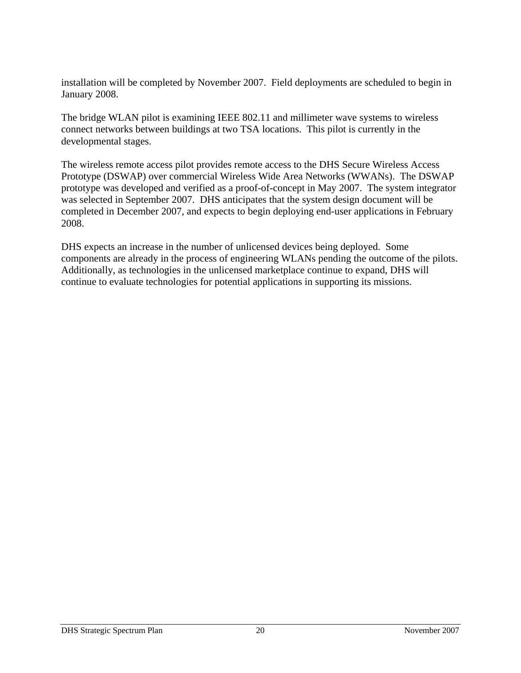installation will be completed by November 2007. Field deployments are scheduled to begin in January 2008.

The bridge WLAN pilot is examining IEEE 802.11 and millimeter wave systems to wireless connect networks between buildings at two TSA locations. This pilot is currently in the developmental stages.

The wireless remote access pilot provides remote access to the DHS Secure Wireless Access Prototype (DSWAP) over commercial Wireless Wide Area Networks (WWANs). The DSWAP prototype was developed and verified as a proof-of-concept in May 2007. The system integrator was selected in September 2007. DHS anticipates that the system design document will be completed in December 2007, and expects to begin deploying end-user applications in February 2008.

DHS expects an increase in the number of unlicensed devices being deployed. Some components are already in the process of engineering WLANs pending the outcome of the pilots. Additionally, as technologies in the unlicensed marketplace continue to expand, DHS will continue to evaluate technologies for potential applications in supporting its missions.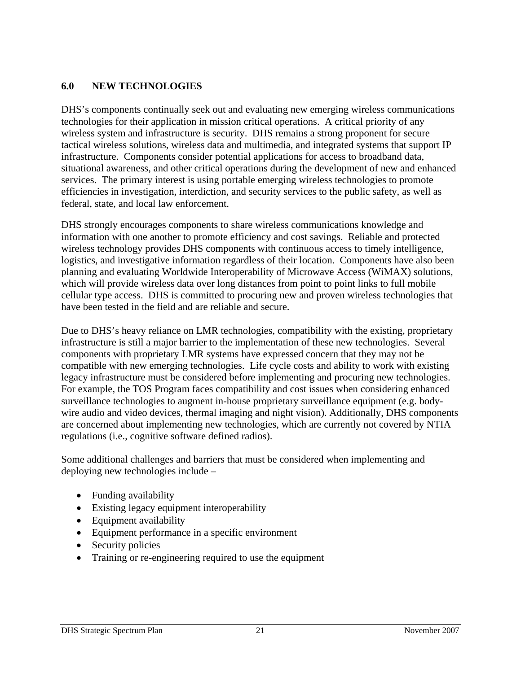#### **6.0 NEW TECHNOLOGIES**

DHS's components continually seek out and evaluating new emerging wireless communications technologies for their application in mission critical operations. A critical priority of any wireless system and infrastructure is security. DHS remains a strong proponent for secure tactical wireless solutions, wireless data and multimedia, and integrated systems that support IP infrastructure. Components consider potential applications for access to broadband data, situational awareness, and other critical operations during the development of new and enhanced services. The primary interest is using portable emerging wireless technologies to promote efficiencies in investigation, interdiction, and security services to the public safety, as well as federal, state, and local law enforcement.

DHS strongly encourages components to share wireless communications knowledge and information with one another to promote efficiency and cost savings. Reliable and protected wireless technology provides DHS components with continuous access to timely intelligence, logistics, and investigative information regardless of their location. Components have also been planning and evaluating Worldwide Interoperability of Microwave Access (WiMAX) solutions, which will provide wireless data over long distances from point to point links to full mobile cellular type access. DHS is committed to procuring new and proven wireless technologies that have been tested in the field and are reliable and secure.

Due to DHS's heavy reliance on LMR technologies, compatibility with the existing, proprietary infrastructure is still a major barrier to the implementation of these new technologies. Several components with proprietary LMR systems have expressed concern that they may not be compatible with new emerging technologies. Life cycle costs and ability to work with existing legacy infrastructure must be considered before implementing and procuring new technologies. For example, the TOS Program faces compatibility and cost issues when considering enhanced surveillance technologies to augment in-house proprietary surveillance equipment (e.g. bodywire audio and video devices, thermal imaging and night vision). Additionally, DHS components are concerned about implementing new technologies, which are currently not covered by NTIA regulations (i.e., cognitive software defined radios).

Some additional challenges and barriers that must be considered when implementing and deploying new technologies include –

- Funding availability
- Existing legacy equipment interoperability
- Equipment availability
- Equipment performance in a specific environment
- Security policies
- Training or re-engineering required to use the equipment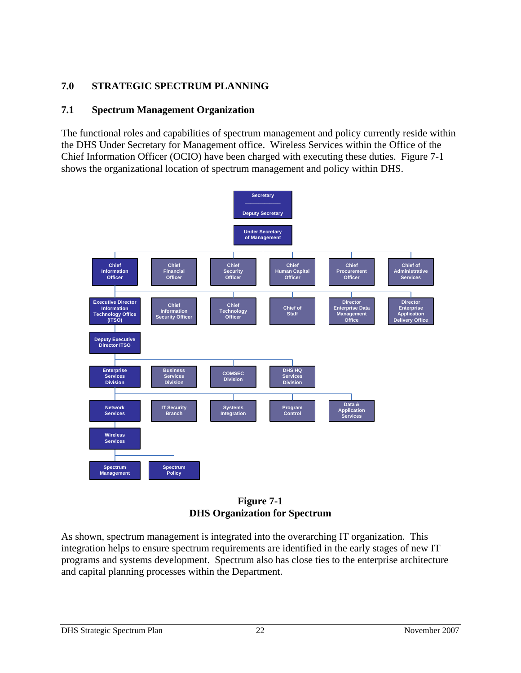# **7.0 STRATEGIC SPECTRUM PLANNING**

#### **7.1 Spectrum Management Organization**

The functional roles and capabilities of spectrum management and policy currently reside within the DHS Under Secretary for Management office. Wireless Services within the Office of the Chief Information Officer (OCIO) have been charged with executing these duties. Figure 7-1 shows the organizational location of spectrum management and policy within DHS.



**Figure 7-1 DHS Organization for Spectrum** 

As shown, spectrum management is integrated into the overarching IT organization. This integration helps to ensure spectrum requirements are identified in the early stages of new IT programs and systems development. Spectrum also has close ties to the enterprise architecture and capital planning processes within the Department.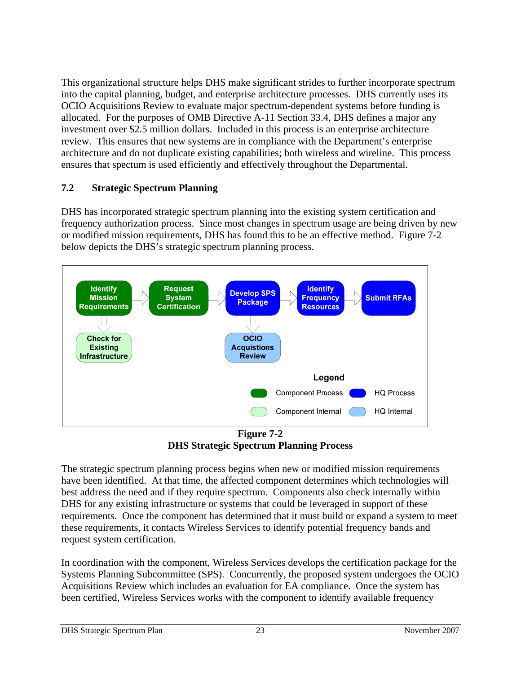This organizational structure helps DHS make significant strides to further incorporate spectrum into the capital planning, budget, and enterprise architecture processes. DHS currently uses its OCIO Acquisitions Review to evaluate major spectrum-dependent systems before funding is allocated. For the purposes of OMB Directive A-11 Section 33.4, DHS defines a major any investment over \$2.5 million dollars. Included in this process is an enterprise architecture review. This ensures that new systems are in compliance with the Department's enterprise architecture and do not duplicate existing capabilities; both wireless and wireline. This process ensures that spectum is used efficiently and effectively throughout the Departmental.

#### **7.2 Strategic Spectrum Planning**

DHS has incorporated strategic spectrum planning into the existing system certification and frequency authorization process. Since most changes in spectrum usage are being driven by new or modified mission requirements, DHS has found this to be an effective method. Figure 7-2 below depicts the DHS's strategic spectrum planning process.



**Figure 7-2 DHS Strategic Spectrum Planning Process** 

The strategic spectrum planning process begins when new or modified mission requirements have been identified. At that time, the affected component determines which technologies will best address the need and if they require spectrum. Components also check internally within DHS for any existing infrastructure or systems that could be leveraged in support of these requirements. Once the component has determined that it must build or expand a system to meet these requirements, it contacts Wireless Services to identify potential frequency bands and request system certification.

In coordination with the component, Wireless Services develops the certification package for the Systems Planning Subcommittee (SPS). Concurrently, the proposed system undergoes the OCIO Acquisitions Review which includes an evaluation for EA compliance. Once the system has been certified, Wireless Services works with the component to identify available frequency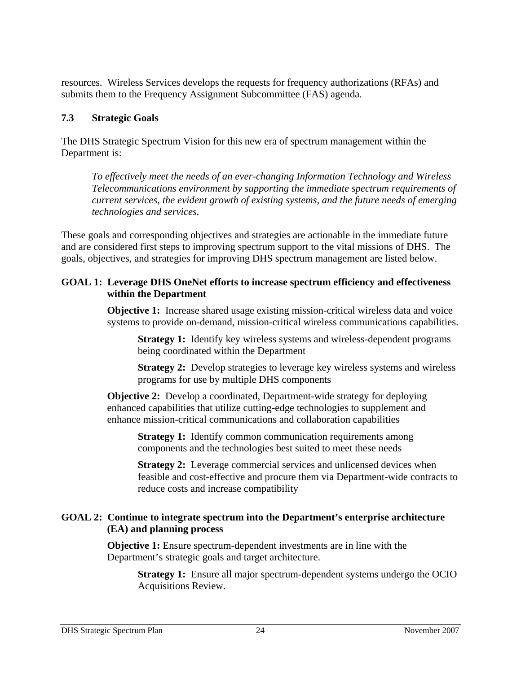resources. Wireless Services develops the requests for frequency authorizations (RFAs) and submits them to the Frequency Assignment Subcommittee (FAS) agenda.

#### **7.3 Strategic Goals**

The DHS Strategic Spectrum Vision for this new era of spectrum management within the Department is:

*To effectively meet the needs of an ever-changing Information Technology and Wireless Telecommunications environment by supporting the immediate spectrum requirements of current services, the evident growth of existing systems, and the future needs of emerging technologies and services.* 

These goals and corresponding objectives and strategies are actionable in the immediate future and are considered first steps to improving spectrum support to the vital missions of DHS. The goals, objectives, and strategies for improving DHS spectrum management are listed below.

#### **GOAL 1: Leverage DHS OneNet efforts to increase spectrum efficiency and effectiveness within the Department**

**Objective 1:** Increase shared usage existing mission-critical wireless data and voice systems to provide on-demand, mission-critical wireless communications capabilities.

**Strategy 1:** Identify key wireless systems and wireless-dependent programs being coordinated within the Department

**Strategy 2:** Develop strategies to leverage key wireless systems and wireless programs for use by multiple DHS components

**Objective 2:** Develop a coordinated, Department-wide strategy for deploying enhanced capabilities that utilize cutting-edge technologies to supplement and enhance mission-critical communications and collaboration capabilities

**Strategy 1:** Identify common communication requirements among components and the technologies best suited to meet these needs

**Strategy 2:** Leverage commercial services and unlicensed devices when feasible and cost-effective and procure them via Department-wide contracts to reduce costs and increase compatibility

#### **GOAL 2: Continue to integrate spectrum into the Department's enterprise architecture (EA) and planning process**

**Objective 1:** Ensure spectrum-dependent investments are in line with the Department's strategic goals and target architecture.

**Strategy 1:** Ensure all major spectrum-dependent systems undergo the OCIO Acquisitions Review.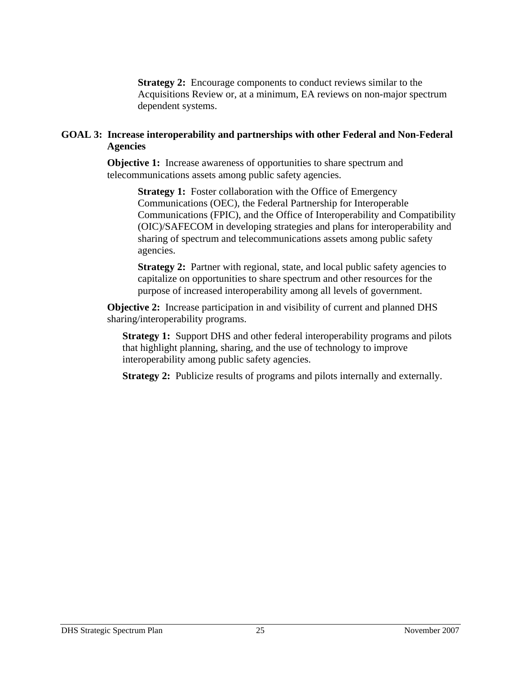**Strategy 2:** Encourage components to conduct reviews similar to the Acquisitions Review or, at a minimum, EA reviews on non-major spectrum dependent systems.

#### **GOAL 3: Increase interoperability and partnerships with other Federal and Non-Federal Agencies**

**Objective 1:** Increase awareness of opportunities to share spectrum and telecommunications assets among public safety agencies.

> **Strategy 1:** Foster collaboration with the Office of Emergency Communications (OEC), the Federal Partnership for Interoperable Communications (FPIC), and the Office of Interoperability and Compatibility (OIC)/SAFECOM in developing strategies and plans for interoperability and sharing of spectrum and telecommunications assets among public safety agencies.

**Strategy 2:** Partner with regional, state, and local public safety agencies to capitalize on opportunities to share spectrum and other resources for the purpose of increased interoperability among all levels of government.

**Objective 2:** Increase participation in and visibility of current and planned DHS sharing/interoperability programs.

**Strategy 1:** Support DHS and other federal interoperability programs and pilots that highlight planning, sharing, and the use of technology to improve interoperability among public safety agencies.

**Strategy 2:** Publicize results of programs and pilots internally and externally.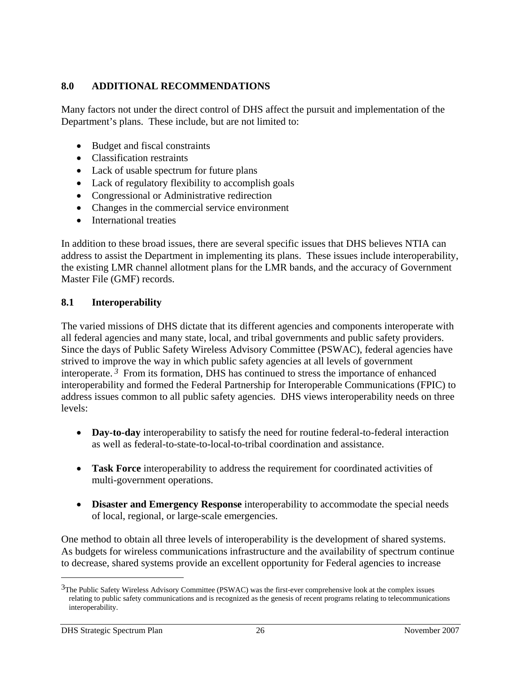#### **8.0 ADDITIONAL RECOMMENDATIONS**

Many factors not under the direct control of DHS affect the pursuit and implementation of the Department's plans. These include, but are not limited to:

- Budget and fiscal constraints
- Classification restraints
- Lack of usable spectrum for future plans
- Lack of regulatory flexibility to accomplish goals
- Congressional or Administrative redirection
- Changes in the commercial service environment
- International treaties

In addition to these broad issues, there are several specific issues that DHS believes NTIA can address to assist the Department in implementing its plans. These issues include interoperability, the existing LMR channel allotment plans for the LMR bands, and the accuracy of Government Master File (GMF) records.

#### **8.1 Interoperability**

The varied missions of DHS dictate that its different agencies and components interoperate with all federal agencies and many state, local, and tribal governments and public safety providers. Since the days of Public Safety Wireless Advisory Committee (PSWAC), federal agencies have strived to improve the way in which public safety agencies at all levels of government interoperate. *3* From its formation, DHS has continued to stress the importance of enhanced interoperability and formed the Federal Partnership for Interoperable Communications (FPIC) to address issues common to all public safety agencies. DHS views interoperability needs on three levels:

- **Day-to-day** interoperability to satisfy the need for routine federal-to-federal interaction as well as federal-to-state-to-local-to-tribal coordination and assistance.
- **Task Force** interoperability to address the requirement for coordinated activities of multi-government operations.
- **Disaster and Emergency Response** interoperability to accommodate the special needs of local, regional, or large-scale emergencies.

One method to obtain all three levels of interoperability is the development of shared systems. As budgets for wireless communications infrastructure and the availability of spectrum continue to decrease, shared systems provide an excellent opportunity for Federal agencies to increase

 $\overline{a}$ 

 $3$ The Public Safety Wireless Advisory Committee (PSWAC) was the first-ever comprehensive look at the complex issues relating to public safety communications and is recognized as the genesis of recent programs relating to telecommunications interoperability.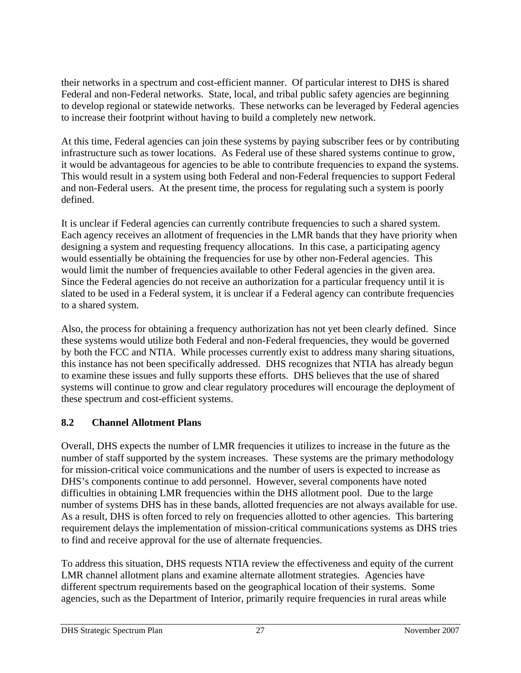their networks in a spectrum and cost-efficient manner. Of particular interest to DHS is shared Federal and non-Federal networks. State, local, and tribal public safety agencies are beginning to develop regional or statewide networks. These networks can be leveraged by Federal agencies to increase their footprint without having to build a completely new network.

At this time, Federal agencies can join these systems by paying subscriber fees or by contributing infrastructure such as tower locations. As Federal use of these shared systems continue to grow, it would be advantageous for agencies to be able to contribute frequencies to expand the systems. This would result in a system using both Federal and non-Federal frequencies to support Federal and non-Federal users. At the present time, the process for regulating such a system is poorly defined.

It is unclear if Federal agencies can currently contribute frequencies to such a shared system. Each agency receives an allotment of frequencies in the LMR bands that they have priority when designing a system and requesting frequency allocations. In this case, a participating agency would essentially be obtaining the frequencies for use by other non-Federal agencies. This would limit the number of frequencies available to other Federal agencies in the given area. Since the Federal agencies do not receive an authorization for a particular frequency until it is slated to be used in a Federal system, it is unclear if a Federal agency can contribute frequencies to a shared system.

Also, the process for obtaining a frequency authorization has not yet been clearly defined. Since these systems would utilize both Federal and non-Federal frequencies, they would be governed by both the FCC and NTIA. While processes currently exist to address many sharing situations, this instance has not been specifically addressed. DHS recognizes that NTIA has already begun to examine these issues and fully supports these efforts. DHS believes that the use of shared systems will continue to grow and clear regulatory procedures will encourage the deployment of these spectrum and cost-efficient systems.

# **8.2 Channel Allotment Plans**

Overall, DHS expects the number of LMR frequencies it utilizes to increase in the future as the number of staff supported by the system increases. These systems are the primary methodology for mission-critical voice communications and the number of users is expected to increase as DHS's components continue to add personnel. However, several components have noted difficulties in obtaining LMR frequencies within the DHS allotment pool. Due to the large number of systems DHS has in these bands, allotted frequencies are not always available for use. As a result, DHS is often forced to rely on frequencies allotted to other agencies. This bartering requirement delays the implementation of mission-critical communications systems as DHS tries to find and receive approval for the use of alternate frequencies.

To address this situation, DHS requests NTIA review the effectiveness and equity of the current LMR channel allotment plans and examine alternate allotment strategies. Agencies have different spectrum requirements based on the geographical location of their systems. Some agencies, such as the Department of Interior, primarily require frequencies in rural areas while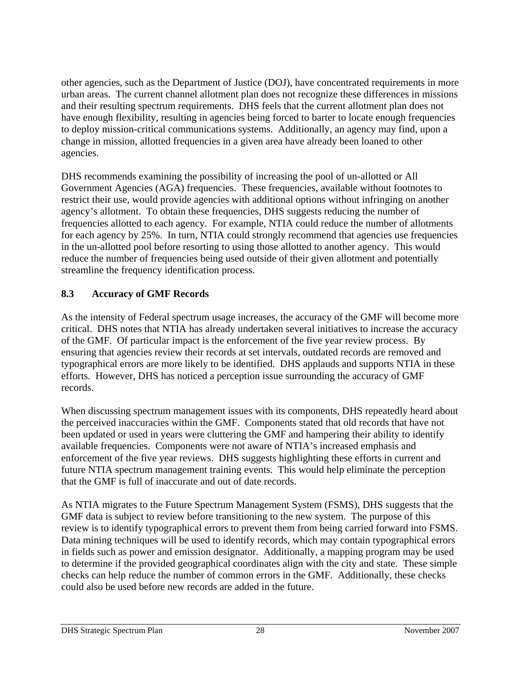other agencies, such as the Department of Justice (DOJ), have concentrated requirements in more urban areas. The current channel allotment plan does not recognize these differences in missions and their resulting spectrum requirements. DHS feels that the current allotment plan does not have enough flexibility, resulting in agencies being forced to barter to locate enough frequencies to deploy mission-critical communications systems. Additionally, an agency may find, upon a change in mission, allotted frequencies in a given area have already been loaned to other agencies.

DHS recommends examining the possibility of increasing the pool of un-allotted or All Government Agencies (AGA) frequencies. These frequencies, available without footnotes to restrict their use, would provide agencies with additional options without infringing on another agency's allotment. To obtain these frequencies, DHS suggests reducing the number of frequencies allotted to each agency. For example, NTIA could reduce the number of allotments for each agency by 25%. In turn, NTIA could strongly recommend that agencies use frequencies in the un-allotted pool before resorting to using those allotted to another agency. This would reduce the number of frequencies being used outside of their given allotment and potentially streamline the frequency identification process.

#### **8.3 Accuracy of GMF Records**

As the intensity of Federal spectrum usage increases, the accuracy of the GMF will become more critical. DHS notes that NTIA has already undertaken several initiatives to increase the accuracy of the GMF. Of particular impact is the enforcement of the five year review process. By ensuring that agencies review their records at set intervals, outdated records are removed and typographical errors are more likely to be identified. DHS applauds and supports NTIA in these efforts. However, DHS has noticed a perception issue surrounding the accuracy of GMF records.

When discussing spectrum management issues with its components, DHS repeatedly heard about the perceived inaccuracies within the GMF. Components stated that old records that have not been updated or used in years were cluttering the GMF and hampering their ability to identify available frequencies. Components were not aware of NTIA's increased emphasis and enforcement of the five year reviews. DHS suggests highlighting these efforts in current and future NTIA spectrum management training events. This would help eliminate the perception that the GMF is full of inaccurate and out of date records.

As NTIA migrates to the Future Spectrum Management System (FSMS), DHS suggests that the GMF data is subject to review before transitioning to the new system. The purpose of this review is to identify typographical errors to prevent them from being carried forward into FSMS. Data mining techniques will be used to identify records, which may contain typographical errors in fields such as power and emission designator. Additionally, a mapping program may be used to determine if the provided geographical coordinates align with the city and state. These simple checks can help reduce the number of common errors in the GMF. Additionally, these checks could also be used before new records are added in the future.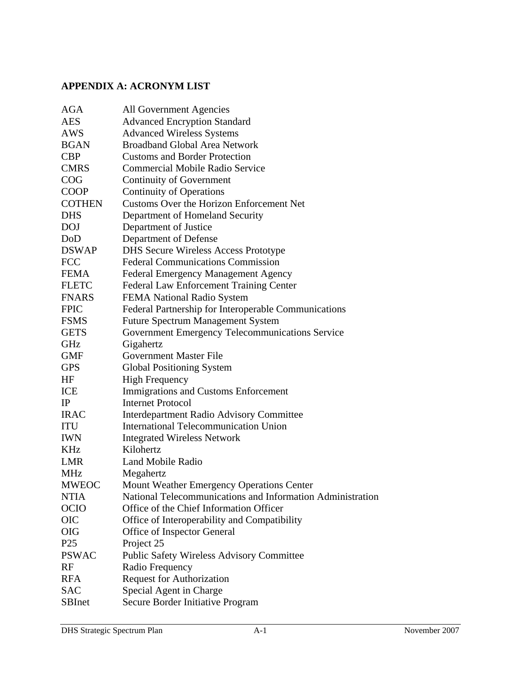# **APPENDIX A: ACRONYM LIST**

| AGA             | All Government Agencies                                    |
|-----------------|------------------------------------------------------------|
| <b>AES</b>      | <b>Advanced Encryption Standard</b>                        |
| <b>AWS</b>      | <b>Advanced Wireless Systems</b>                           |
| <b>BGAN</b>     | <b>Broadband Global Area Network</b>                       |
| <b>CBP</b>      | <b>Customs and Border Protection</b>                       |
| <b>CMRS</b>     | <b>Commercial Mobile Radio Service</b>                     |
| COG             | Continuity of Government                                   |
| <b>COOP</b>     | <b>Continuity of Operations</b>                            |
| <b>COTHEN</b>   | Customs Over the Horizon Enforcement Net                   |
| <b>DHS</b>      | Department of Homeland Security                            |
| <b>DOJ</b>      | Department of Justice                                      |
| DoD             | Department of Defense                                      |
| <b>DSWAP</b>    | <b>DHS Secure Wireless Access Prototype</b>                |
| <b>FCC</b>      | <b>Federal Communications Commission</b>                   |
| <b>FEMA</b>     | <b>Federal Emergency Management Agency</b>                 |
| <b>FLETC</b>    | Federal Law Enforcement Training Center                    |
| <b>FNARS</b>    | FEMA National Radio System                                 |
| <b>FPIC</b>     | Federal Partnership for Interoperable Communications       |
| <b>FSMS</b>     | <b>Future Spectrum Management System</b>                   |
| <b>GETS</b>     | Government Emergency Telecommunications Service            |
| GHz             | Gigahertz                                                  |
| <b>GMF</b>      | Government Master File                                     |
| <b>GPS</b>      | <b>Global Positioning System</b>                           |
| HF              | <b>High Frequency</b>                                      |
| ICE             | Immigrations and Customs Enforcement                       |
| IP              | <b>Internet Protocol</b>                                   |
| <b>IRAC</b>     | Interdepartment Radio Advisory Committee                   |
| <b>ITU</b>      | <b>International Telecommunication Union</b>               |
| <b>IWN</b>      | <b>Integrated Wireless Network</b>                         |
| KHz             | Kilohertz                                                  |
| <b>LMR</b>      | <b>Land Mobile Radio</b>                                   |
| <b>MHz</b>      | Megahertz                                                  |
| <b>MWEOC</b>    | Mount Weather Emergency Operations Center                  |
| NTIA            | National Telecommunications and Information Administration |
| <b>OCIO</b>     | Office of the Chief Information Officer                    |
| <b>OIC</b>      | Office of Interoperability and Compatibility               |
| <b>OIG</b>      | Office of Inspector General                                |
| P <sub>25</sub> | Project 25                                                 |
| <b>PSWAC</b>    | <b>Public Safety Wireless Advisory Committee</b>           |
| RF              | Radio Frequency                                            |
| <b>RFA</b>      | <b>Request for Authorization</b>                           |
| <b>SAC</b>      | Special Agent in Charge                                    |
| <b>SBInet</b>   | Secure Border Initiative Program                           |